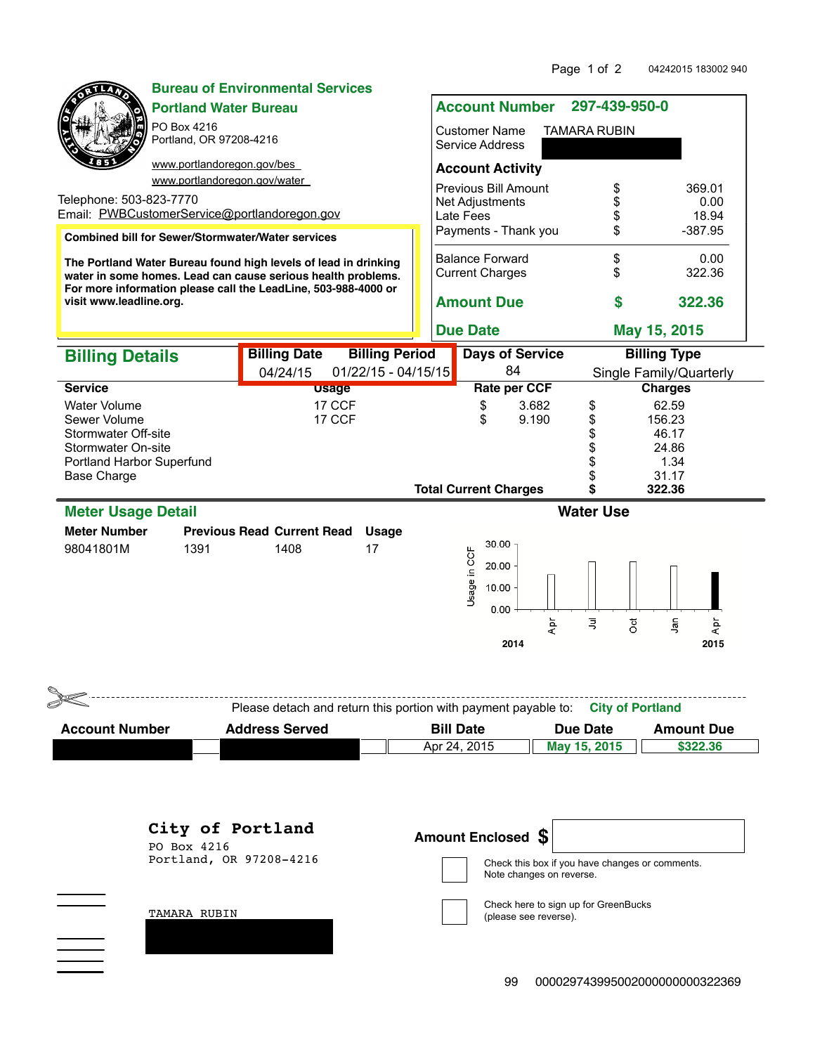